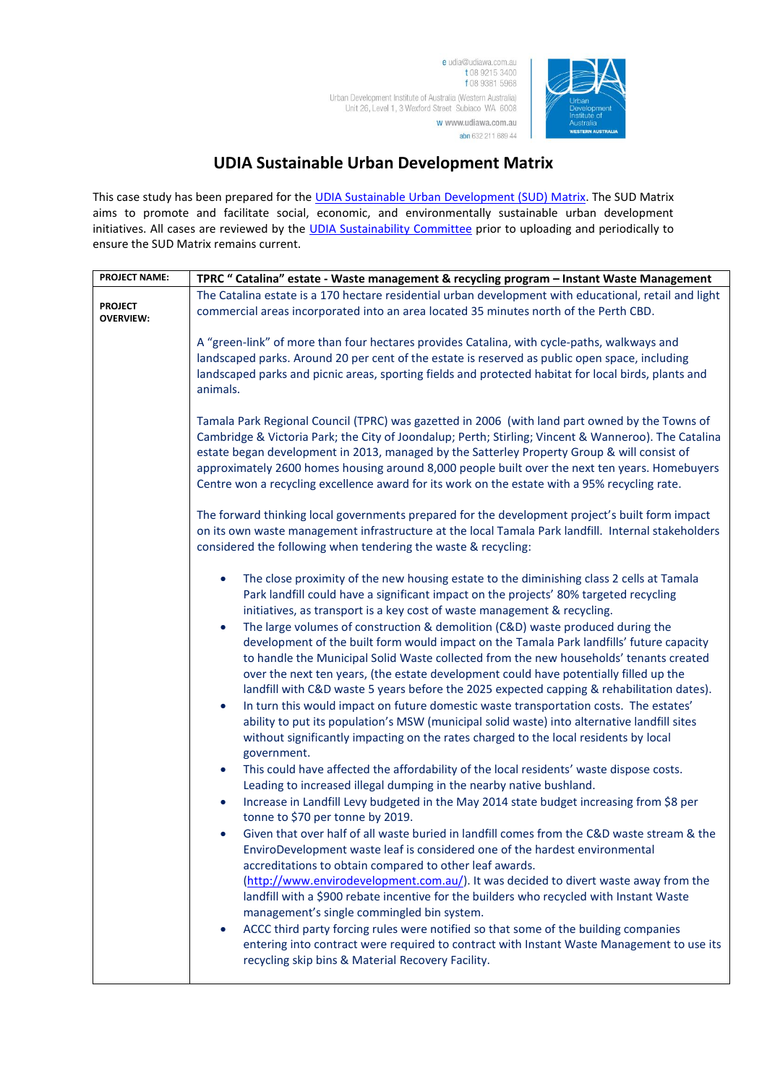e udia@udiawa.com.au t 08 9215 3400 f 08 9381 5968 Urban Development Institute of Australia (Western Australia) Unit 26, Level 1, 3 Wexford Street Subiaco WA 6008 w www.udiawa.com.au

abn 632 211 689 44



## **UDIA Sustainable Urban Development Matrix**

This case study has been prepared for the [UDIA Sustainable Urban Development \(SUD\) Matrix.](http://www.udiawa.com.au/go/Sustainable-Urban-Development) The SUD Matrix aims to promote and facilitate social, economic, and environmentally sustainable urban development initiatives. All cases are reviewed by the [UDIA Sustainability Committee](http://www.udiawa.com.au/go/committees) prior to uploading and periodically to ensure the SUD Matrix remains current.

| <b>PROJECT NAME:</b>               | TPRC " Catalina" estate - Waste management & recycling program - Instant Waste Management                                                                                                                                                                                                                                                                                                                                                                                                                                                                                                                                                                                                                                                                                                                                                                                                                                                                                                                                                                         |
|------------------------------------|-------------------------------------------------------------------------------------------------------------------------------------------------------------------------------------------------------------------------------------------------------------------------------------------------------------------------------------------------------------------------------------------------------------------------------------------------------------------------------------------------------------------------------------------------------------------------------------------------------------------------------------------------------------------------------------------------------------------------------------------------------------------------------------------------------------------------------------------------------------------------------------------------------------------------------------------------------------------------------------------------------------------------------------------------------------------|
|                                    | The Catalina estate is a 170 hectare residential urban development with educational, retail and light                                                                                                                                                                                                                                                                                                                                                                                                                                                                                                                                                                                                                                                                                                                                                                                                                                                                                                                                                             |
| <b>PROJECT</b><br><b>OVERVIEW:</b> | commercial areas incorporated into an area located 35 minutes north of the Perth CBD.                                                                                                                                                                                                                                                                                                                                                                                                                                                                                                                                                                                                                                                                                                                                                                                                                                                                                                                                                                             |
|                                    | A "green-link" of more than four hectares provides Catalina, with cycle-paths, walkways and                                                                                                                                                                                                                                                                                                                                                                                                                                                                                                                                                                                                                                                                                                                                                                                                                                                                                                                                                                       |
|                                    | landscaped parks. Around 20 per cent of the estate is reserved as public open space, including                                                                                                                                                                                                                                                                                                                                                                                                                                                                                                                                                                                                                                                                                                                                                                                                                                                                                                                                                                    |
|                                    | landscaped parks and picnic areas, sporting fields and protected habitat for local birds, plants and<br>animals.                                                                                                                                                                                                                                                                                                                                                                                                                                                                                                                                                                                                                                                                                                                                                                                                                                                                                                                                                  |
|                                    | Tamala Park Regional Council (TPRC) was gazetted in 2006 (with land part owned by the Towns of<br>Cambridge & Victoria Park; the City of Joondalup; Perth; Stirling; Vincent & Wanneroo). The Catalina<br>estate began development in 2013, managed by the Satterley Property Group & will consist of<br>approximately 2600 homes housing around 8,000 people built over the next ten years. Homebuyers<br>Centre won a recycling excellence award for its work on the estate with a 95% recycling rate.                                                                                                                                                                                                                                                                                                                                                                                                                                                                                                                                                          |
|                                    | The forward thinking local governments prepared for the development project's built form impact<br>on its own waste management infrastructure at the local Tamala Park landfill. Internal stakeholders<br>considered the following when tendering the waste & recycling:                                                                                                                                                                                                                                                                                                                                                                                                                                                                                                                                                                                                                                                                                                                                                                                          |
|                                    | The close proximity of the new housing estate to the diminishing class 2 cells at Tamala<br>$\bullet$<br>Park landfill could have a significant impact on the projects' 80% targeted recycling<br>initiatives, as transport is a key cost of waste management & recycling.<br>The large volumes of construction & demolition (C&D) waste produced during the<br>$\bullet$<br>development of the built form would impact on the Tamala Park landfills' future capacity<br>to handle the Municipal Solid Waste collected from the new households' tenants created<br>over the next ten years, (the estate development could have potentially filled up the<br>landfill with C&D waste 5 years before the 2025 expected capping & rehabilitation dates).<br>In turn this would impact on future domestic waste transportation costs. The estates'<br>$\bullet$<br>ability to put its population's MSW (municipal solid waste) into alternative landfill sites<br>without significantly impacting on the rates charged to the local residents by local<br>government. |
|                                    | This could have affected the affordability of the local residents' waste dispose costs.<br>$\bullet$<br>Leading to increased illegal dumping in the nearby native bushland.                                                                                                                                                                                                                                                                                                                                                                                                                                                                                                                                                                                                                                                                                                                                                                                                                                                                                       |
|                                    | Increase in Landfill Levy budgeted in the May 2014 state budget increasing from \$8 per<br>$\bullet$<br>tonne to \$70 per tonne by 2019.                                                                                                                                                                                                                                                                                                                                                                                                                                                                                                                                                                                                                                                                                                                                                                                                                                                                                                                          |
|                                    | Given that over half of all waste buried in landfill comes from the C&D waste stream & the<br>EnviroDevelopment waste leaf is considered one of the hardest environmental<br>accreditations to obtain compared to other leaf awards.<br>(http://www.envirodevelopment.com.au/). It was decided to divert waste away from the<br>landfill with a \$900 rebate incentive for the builders who recycled with Instant Waste<br>management's single commingled bin system.<br>ACCC third party forcing rules were notified so that some of the building companies<br>$\bullet$<br>entering into contract were required to contract with Instant Waste Management to use its<br>recycling skip bins & Material Recovery Facility.                                                                                                                                                                                                                                                                                                                                       |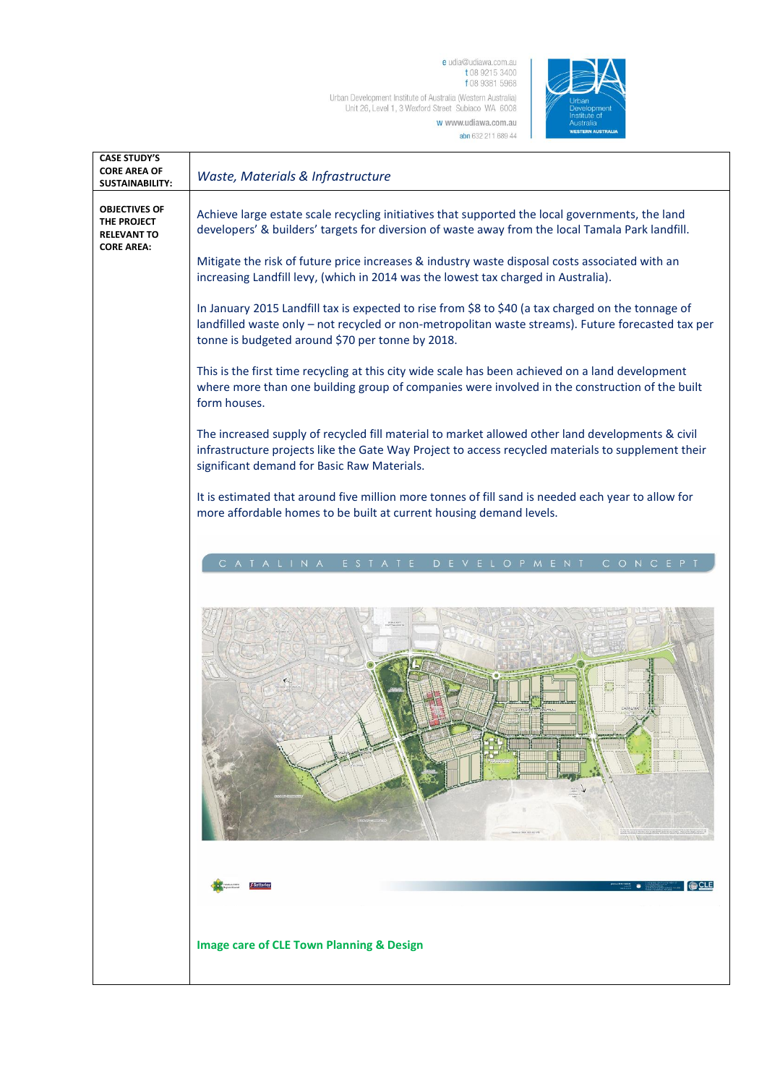e udia@udiawa.com.au<br>t 08 9215 3400<br>f 08 9381 5968 Urban Development Institute of Australia (Western Australia)<br>Unit 26, Level 1, 3 Wexford Street Subiaco WA 6008 w www.udiawa.com.au

abn 632 211 689 44



| <b>CASE STUDY'S</b><br><b>CORE AREA OF</b><br><b>SUSTAINABILITY:</b>           | Waste, Materials & Infrastructure                                                                                                                                                                                                                            |
|--------------------------------------------------------------------------------|--------------------------------------------------------------------------------------------------------------------------------------------------------------------------------------------------------------------------------------------------------------|
| <b>OBJECTIVES OF</b><br>THE PROJECT<br><b>RELEVANT TO</b><br><b>CORE AREA:</b> | Achieve large estate scale recycling initiatives that supported the local governments, the land<br>developers' & builders' targets for diversion of waste away from the local Tamala Park landfill.                                                          |
|                                                                                | Mitigate the risk of future price increases & industry waste disposal costs associated with an<br>increasing Landfill levy, (which in 2014 was the lowest tax charged in Australia).                                                                         |
|                                                                                | In January 2015 Landfill tax is expected to rise from \$8 to \$40 (a tax charged on the tonnage of<br>landfilled waste only - not recycled or non-metropolitan waste streams). Future forecasted tax per<br>tonne is budgeted around \$70 per tonne by 2018. |
|                                                                                | This is the first time recycling at this city wide scale has been achieved on a land development<br>where more than one building group of companies were involved in the construction of the built<br>form houses.                                           |
|                                                                                | The increased supply of recycled fill material to market allowed other land developments & civil<br>infrastructure projects like the Gate Way Project to access recycled materials to supplement their<br>significant demand for Basic Raw Materials.        |
|                                                                                | It is estimated that around five million more tonnes of fill sand is needed each year to allow for<br>more affordable homes to be built at current housing demand levels.                                                                                    |
|                                                                                | CATALINA<br>D E V E L O P M E N T<br>ESTATE<br>CONCEPT                                                                                                                                                                                                       |
|                                                                                |                                                                                                                                                                                                                                                              |
|                                                                                | <b>CLE</b><br>۰                                                                                                                                                                                                                                              |
|                                                                                | <b>Image care of CLE Town Planning &amp; Design</b>                                                                                                                                                                                                          |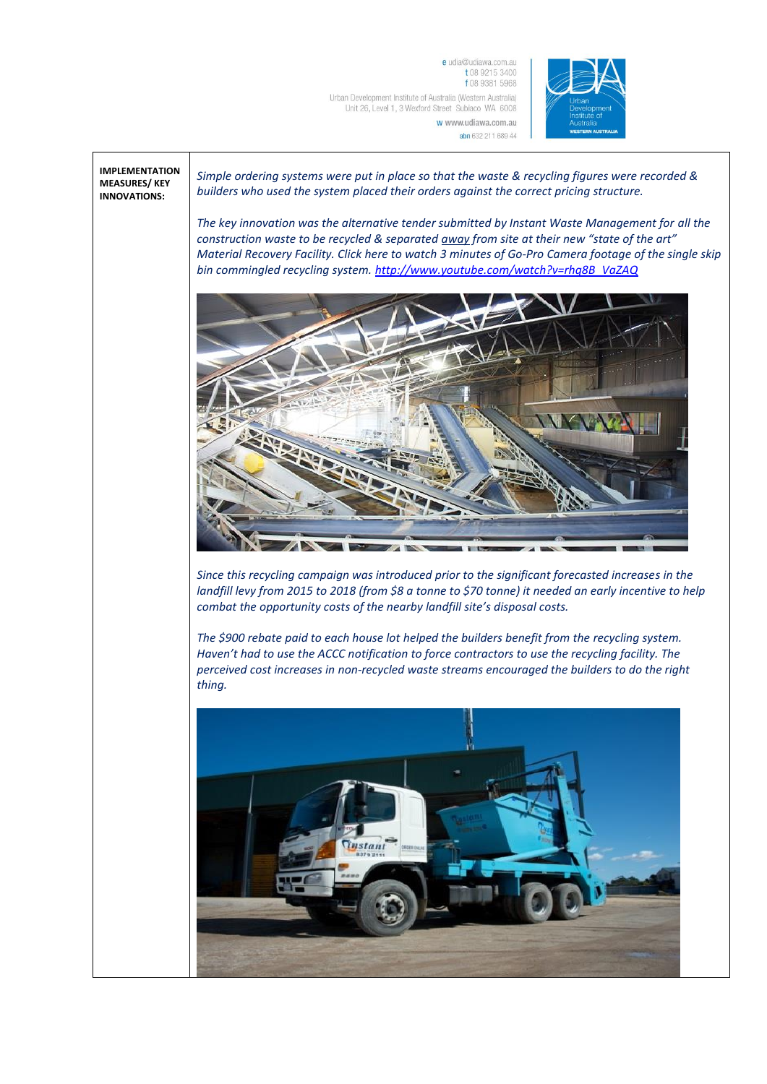e udia@udiawa.com.au t 08 9215 3400 f 08 9381 5968 Urban Development Institute of Australia (Western Australia) Unit 26, Level 1, 3 Wexford Street Subiaco WA 6008 w www.udiawa.com.au



## **IMPLEMENTATION MEASURES/ KEY INNOVATIONS:**

*Simple ordering systems were put in place so that the waste & recycling figures were recorded & builders who used the system placed their orders against the correct pricing structure.* 

*The key innovation was the alternative tender submitted by Instant Waste Management for all the construction waste to be recycled & separated away from site at their new "state of the art" Material Recovery Facility. Click here to watch 3 minutes of Go-Pro Camera footage of the single skip bin commingled recycling system. [http://www.youtube.com/watch?v=rhq8B\\_VaZAQ](http://www.youtube.com/watch?v=rhq8B_VaZAQ)*

abn 632 211 689 44



*Since this recycling campaign was introduced prior to the significant forecasted increases in the landfill levy from 2015 to 2018 (from \$8 a tonne to \$70 tonne) it needed an early incentive to help combat the opportunity costs of the nearby landfill site's disposal costs.* 

*The \$900 rebate paid to each house lot helped the builders benefit from the recycling system. Haven't had to use the ACCC notification to force contractors to use the recycling facility. The perceived cost increases in non-recycled waste streams encouraged the builders to do the right thing.* 

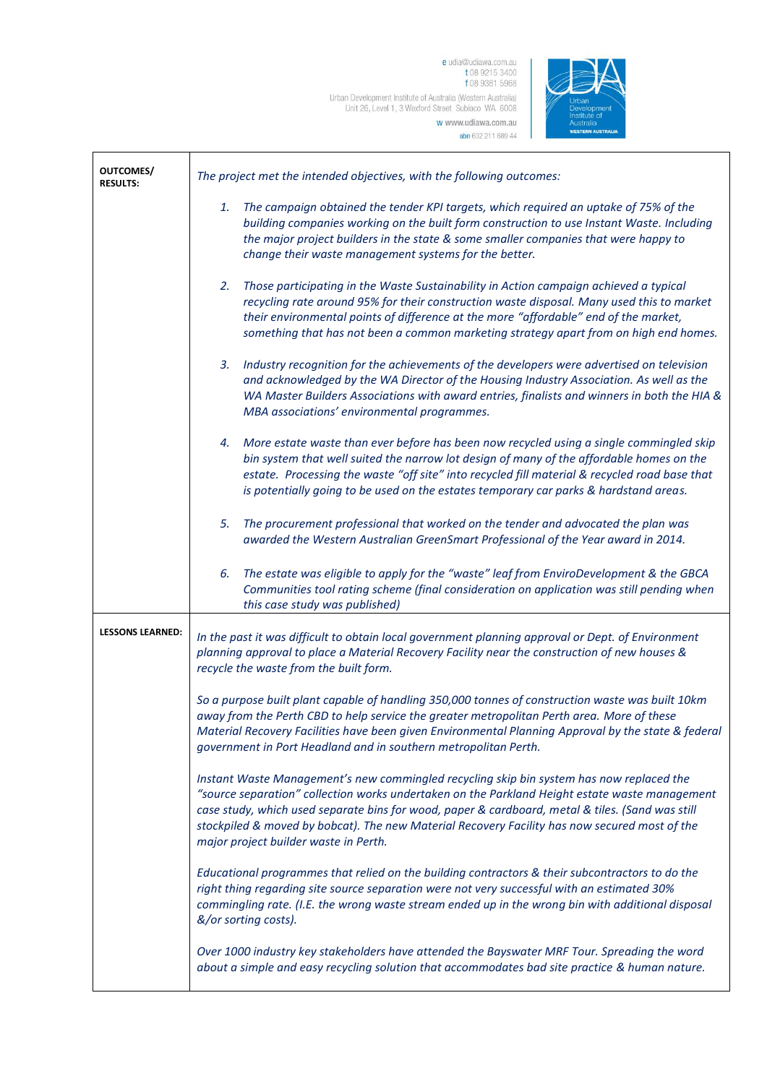e udia@udiawa.com.au<br>t 08 9215 3400<br>f 08 9381 5968 Urban Development Institute of Australia (Western Australia)<br>Unit 26, Level 1, 3 Wexford Street Subiaco WA 6008 w www.udiawa.com.au

abn 632 211 689 44



| <b>OUTCOMES/</b><br><b>RESULTS:</b> | The project met the intended objectives, with the following outcomes:                                                                                                                                                                                                                                                                                                                                                                    |
|-------------------------------------|------------------------------------------------------------------------------------------------------------------------------------------------------------------------------------------------------------------------------------------------------------------------------------------------------------------------------------------------------------------------------------------------------------------------------------------|
|                                     | The campaign obtained the tender KPI targets, which required an uptake of 75% of the<br>1.<br>building companies working on the built form construction to use Instant Waste. Including<br>the major project builders in the state & some smaller companies that were happy to<br>change their waste management systems for the better.                                                                                                  |
|                                     | Those participating in the Waste Sustainability in Action campaign achieved a typical<br>2.<br>recycling rate around 95% for their construction waste disposal. Many used this to market<br>their environmental points of difference at the more "affordable" end of the market,<br>something that has not been a common marketing strategy apart from on high end homes.                                                                |
|                                     | 3. Industry recognition for the achievements of the developers were advertised on television<br>and acknowledged by the WA Director of the Housing Industry Association. As well as the<br>WA Master Builders Associations with award entries, finalists and winners in both the HIA &<br>MBA associations' environmental programmes.                                                                                                    |
|                                     | 4. More estate waste than ever before has been now recycled using a single commingled skip<br>bin system that well suited the narrow lot design of many of the affordable homes on the<br>estate. Processing the waste "off site" into recycled fill material & recycled road base that<br>is potentially going to be used on the estates temporary car parks & hardstand areas.                                                         |
|                                     | The procurement professional that worked on the tender and advocated the plan was<br>5.<br>awarded the Western Australian GreenSmart Professional of the Year award in 2014.                                                                                                                                                                                                                                                             |
|                                     | The estate was eligible to apply for the "waste" leaf from EnviroDevelopment & the GBCA<br>6.<br>Communities tool rating scheme (final consideration on application was still pending when<br>this case study was published)                                                                                                                                                                                                             |
| <b>LESSONS LEARNED:</b>             | In the past it was difficult to obtain local government planning approval or Dept. of Environment<br>planning approval to place a Material Recovery Facility near the construction of new houses &<br>recycle the waste from the built form.                                                                                                                                                                                             |
|                                     | So a purpose built plant capable of handling 350,000 tonnes of construction waste was built 10km<br>away from the Perth CBD to help service the greater metropolitan Perth area. More of these<br>Material Recovery Facilities have been given Environmental Planning Approval by the state & federal<br>government in Port Headland and in southern metropolitan Perth.                                                                 |
|                                     | Instant Waste Management's new commingled recycling skip bin system has now replaced the<br>"source separation" collection works undertaken on the Parkland Height estate waste management<br>case study, which used separate bins for wood, paper & cardboard, metal & tiles. (Sand was still<br>stockpiled & moved by bobcat). The new Material Recovery Facility has now secured most of the<br>major project builder waste in Perth. |
|                                     | Educational programmes that relied on the building contractors & their subcontractors to do the<br>right thing regarding site source separation were not very successful with an estimated 30%<br>commingling rate. (I.E. the wrong waste stream ended up in the wrong bin with additional disposal<br>&/or sorting costs).                                                                                                              |
|                                     | Over 1000 industry key stakeholders have attended the Bayswater MRF Tour. Spreading the word<br>about a simple and easy recycling solution that accommodates bad site practice & human nature.                                                                                                                                                                                                                                           |